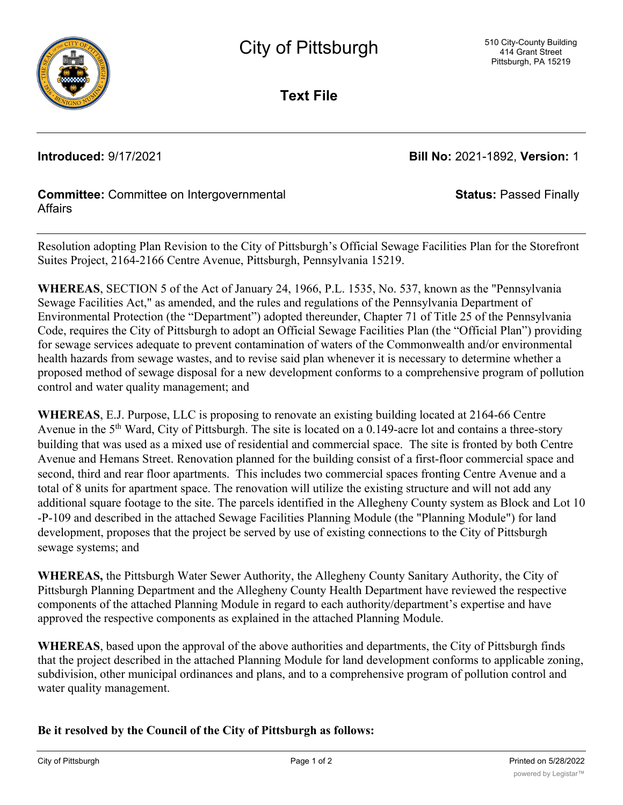

**Text File**

**Introduced:** 9/17/2021 **Bill No:** 2021-1892, **Version:** 1

**Status:** Passed Finally

# **Committee:** Committee on Intergovernmental **Affairs**

Resolution adopting Plan Revision to the City of Pittsburgh's Official Sewage Facilities Plan for the Storefront Suites Project, 2164-2166 Centre Avenue, Pittsburgh, Pennsylvania 15219.

**WHEREAS**, SECTION 5 of the Act of January 24, 1966, P.L. 1535, No. 537, known as the "Pennsylvania Sewage Facilities Act," as amended, and the rules and regulations of the Pennsylvania Department of Environmental Protection (the "Department") adopted thereunder, Chapter 71 of Title 25 of the Pennsylvania Code, requires the City of Pittsburgh to adopt an Official Sewage Facilities Plan (the "Official Plan") providing for sewage services adequate to prevent contamination of waters of the Commonwealth and/or environmental health hazards from sewage wastes, and to revise said plan whenever it is necessary to determine whether a proposed method of sewage disposal for a new development conforms to a comprehensive program of pollution control and water quality management; and

**WHEREAS**, E.J. Purpose, LLC is proposing to renovate an existing building located at 2164-66 Centre Avenue in the 5<sup>th</sup> Ward, City of Pittsburgh. The site is located on a 0.149-acre lot and contains a three-story building that was used as a mixed use of residential and commercial space. The site is fronted by both Centre Avenue and Hemans Street. Renovation planned for the building consist of a first-floor commercial space and second, third and rear floor apartments. This includes two commercial spaces fronting Centre Avenue and a total of 8 units for apartment space. The renovation will utilize the existing structure and will not add any additional square footage to the site. The parcels identified in the Allegheny County system as Block and Lot 10 -P-109 and described in the attached Sewage Facilities Planning Module (the "Planning Module") for land development, proposes that the project be served by use of existing connections to the City of Pittsburgh sewage systems; and

**WHEREAS,** the Pittsburgh Water Sewer Authority, the Allegheny County Sanitary Authority, the City of Pittsburgh Planning Department and the Allegheny County Health Department have reviewed the respective components of the attached Planning Module in regard to each authority/department's expertise and have approved the respective components as explained in the attached Planning Module.

**WHEREAS**, based upon the approval of the above authorities and departments, the City of Pittsburgh finds that the project described in the attached Planning Module for land development conforms to applicable zoning, subdivision, other municipal ordinances and plans, and to a comprehensive program of pollution control and water quality management.

## **Be it resolved by the Council of the City of Pittsburgh as follows:**